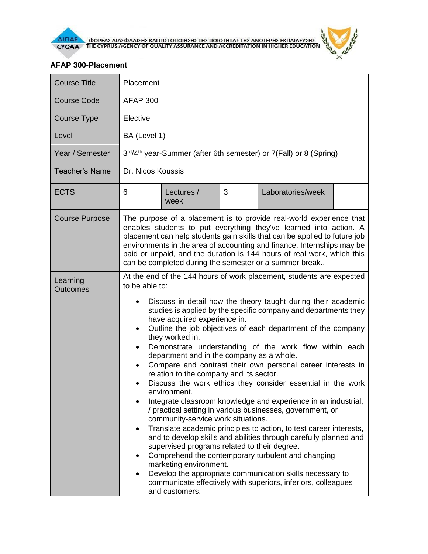

## **AFAP 300-Placement**

| <b>Course Title</b>         | Placement                                                                                                                                                                                                                                                                                                                                                                                                                                                                                                                                                                                                                                                                                                                                                                                                                                                                                                                                                                                                                                                                                                                                                                                                                                                                                                                   |  |  |  |  |  |
|-----------------------------|-----------------------------------------------------------------------------------------------------------------------------------------------------------------------------------------------------------------------------------------------------------------------------------------------------------------------------------------------------------------------------------------------------------------------------------------------------------------------------------------------------------------------------------------------------------------------------------------------------------------------------------------------------------------------------------------------------------------------------------------------------------------------------------------------------------------------------------------------------------------------------------------------------------------------------------------------------------------------------------------------------------------------------------------------------------------------------------------------------------------------------------------------------------------------------------------------------------------------------------------------------------------------------------------------------------------------------|--|--|--|--|--|
| <b>Course Code</b>          | <b>AFAP 300</b>                                                                                                                                                                                                                                                                                                                                                                                                                                                                                                                                                                                                                                                                                                                                                                                                                                                                                                                                                                                                                                                                                                                                                                                                                                                                                                             |  |  |  |  |  |
| Course Type                 | Elective                                                                                                                                                                                                                                                                                                                                                                                                                                                                                                                                                                                                                                                                                                                                                                                                                                                                                                                                                                                                                                                                                                                                                                                                                                                                                                                    |  |  |  |  |  |
| Level                       | BA (Level 1)                                                                                                                                                                                                                                                                                                                                                                                                                                                                                                                                                                                                                                                                                                                                                                                                                                                                                                                                                                                                                                                                                                                                                                                                                                                                                                                |  |  |  |  |  |
| Year / Semester             | 3rd/4 <sup>th</sup> year-Summer (after 6th semester) or 7(Fall) or 8 (Spring)                                                                                                                                                                                                                                                                                                                                                                                                                                                                                                                                                                                                                                                                                                                                                                                                                                                                                                                                                                                                                                                                                                                                                                                                                                               |  |  |  |  |  |
| <b>Teacher's Name</b>       | Dr. Nicos Koussis                                                                                                                                                                                                                                                                                                                                                                                                                                                                                                                                                                                                                                                                                                                                                                                                                                                                                                                                                                                                                                                                                                                                                                                                                                                                                                           |  |  |  |  |  |
| <b>ECTS</b>                 | 3<br>6<br>Laboratories/week<br>Lectures /<br>week                                                                                                                                                                                                                                                                                                                                                                                                                                                                                                                                                                                                                                                                                                                                                                                                                                                                                                                                                                                                                                                                                                                                                                                                                                                                           |  |  |  |  |  |
| <b>Course Purpose</b>       | The purpose of a placement is to provide real-world experience that<br>enables students to put everything they've learned into action. A<br>placement can help students gain skills that can be applied to future job<br>environments in the area of accounting and finance. Internships may be<br>paid or unpaid, and the duration is 144 hours of real work, which this<br>can be completed during the semester or a summer break                                                                                                                                                                                                                                                                                                                                                                                                                                                                                                                                                                                                                                                                                                                                                                                                                                                                                         |  |  |  |  |  |
| Learning<br><b>Outcomes</b> | At the end of the 144 hours of work placement, students are expected<br>to be able to:<br>Discuss in detail how the theory taught during their academic<br>$\bullet$<br>studies is applied by the specific company and departments they<br>have acquired experience in.<br>Outline the job objectives of each department of the company<br>$\bullet$<br>they worked in.<br>Demonstrate understanding of the work flow within each<br>$\bullet$<br>department and in the company as a whole.<br>Compare and contrast their own personal career interests in<br>relation to the company and its sector.<br>Discuss the work ethics they consider essential in the work<br>$\bullet$<br>environment.<br>Integrate classroom knowledge and experience in an industrial,<br>/ practical setting in various businesses, government, or<br>community-service work situations.<br>Translate academic principles to action, to test career interests,<br>$\bullet$<br>and to develop skills and abilities through carefully planned and<br>supervised programs related to their degree.<br>Comprehend the contemporary turbulent and changing<br>$\bullet$<br>marketing environment.<br>Develop the appropriate communication skills necessary to<br>communicate effectively with superiors, inferiors, colleagues<br>and customers. |  |  |  |  |  |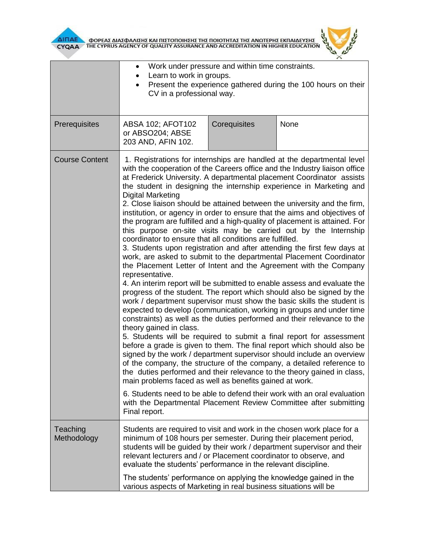

**AITIAE A OOPEAE AIAE DANIERE KAI TIIETOTOIRERE TRE TOIOTRTAE TRE ANOTEPRE EKTIAIAEYERE AND ACCREDITATION IN HIGHER EDUCATION** 



|                         | Work under pressure and within time constraints.<br>$\bullet$<br>Learn to work in groups.<br>Present the experience gathered during the 100 hours on their<br>CV in a professional way.                                                                                            |                                                                                                                                                                                                                                                                                                                                                                                                                                                                                                                                                                                                                                                                                                                                                                                                                                                                                                                                                                                                                                                                                                                                                                                                                                                                                                                                                                                                                                                                                                                                                                                                                                                                                                                                                                                                                                                                                  |                                                                         |  |  |
|-------------------------|------------------------------------------------------------------------------------------------------------------------------------------------------------------------------------------------------------------------------------------------------------------------------------|----------------------------------------------------------------------------------------------------------------------------------------------------------------------------------------------------------------------------------------------------------------------------------------------------------------------------------------------------------------------------------------------------------------------------------------------------------------------------------------------------------------------------------------------------------------------------------------------------------------------------------------------------------------------------------------------------------------------------------------------------------------------------------------------------------------------------------------------------------------------------------------------------------------------------------------------------------------------------------------------------------------------------------------------------------------------------------------------------------------------------------------------------------------------------------------------------------------------------------------------------------------------------------------------------------------------------------------------------------------------------------------------------------------------------------------------------------------------------------------------------------------------------------------------------------------------------------------------------------------------------------------------------------------------------------------------------------------------------------------------------------------------------------------------------------------------------------------------------------------------------------|-------------------------------------------------------------------------|--|--|
| Prerequisites           | ABSA 102; AFOT102<br>or ABSO204; ABSE<br>203 AND, AFIN 102.                                                                                                                                                                                                                        | Corequisites                                                                                                                                                                                                                                                                                                                                                                                                                                                                                                                                                                                                                                                                                                                                                                                                                                                                                                                                                                                                                                                                                                                                                                                                                                                                                                                                                                                                                                                                                                                                                                                                                                                                                                                                                                                                                                                                     | None                                                                    |  |  |
| <b>Course Content</b>   | <b>Digital Marketing</b><br>representative.<br>theory gained in class.<br>Final report.                                                                                                                                                                                            | 1. Registrations for internships are handled at the departmental level<br>with the cooperation of the Careers office and the Industry liaison office<br>at Frederick University. A departmental placement Coordinator assists<br>the student in designing the internship experience in Marketing and<br>2. Close liaison should be attained between the university and the firm,<br>institution, or agency in order to ensure that the aims and objectives of<br>the program are fulfilled and a high-quality of placement is attained. For<br>this purpose on-site visits may be carried out by the Internship<br>coordinator to ensure that all conditions are fulfilled.<br>3. Students upon registration and after attending the first few days at<br>work, are asked to submit to the departmental Placement Coordinator<br>the Placement Letter of Intent and the Agreement with the Company<br>4. An interim report will be submitted to enable assess and evaluate the<br>progress of the student. The report which should also be signed by the<br>work / department supervisor must show the basic skills the student is<br>expected to develop (communication, working in groups and under time<br>constraints) as well as the duties performed and their relevance to the<br>5. Students will be required to submit a final report for assessment<br>before a grade is given to them. The final report which should also be<br>signed by the work / department supervisor should include an overview<br>of the company, the structure of the company, a detailed reference to<br>the duties performed and their relevance to the theory gained in class,<br>main problems faced as well as benefits gained at work.<br>6. Students need to be able to defend their work with an oral evaluation<br>with the Departmental Placement Review Committee after submitting |                                                                         |  |  |
| Teaching<br>Methodology | Students are required to visit and work in the chosen work place for a<br>minimum of 108 hours per semester. During their placement period,<br>relevant lecturers and / or Placement coordinator to observe, and<br>evaluate the students' performance in the relevant discipline. |                                                                                                                                                                                                                                                                                                                                                                                                                                                                                                                                                                                                                                                                                                                                                                                                                                                                                                                                                                                                                                                                                                                                                                                                                                                                                                                                                                                                                                                                                                                                                                                                                                                                                                                                                                                                                                                                                  | students will be guided by their work / department supervisor and their |  |  |
|                         | The students' performance on applying the knowledge gained in the<br>various aspects of Marketing in real business situations will be                                                                                                                                              |                                                                                                                                                                                                                                                                                                                                                                                                                                                                                                                                                                                                                                                                                                                                                                                                                                                                                                                                                                                                                                                                                                                                                                                                                                                                                                                                                                                                                                                                                                                                                                                                                                                                                                                                                                                                                                                                                  |                                                                         |  |  |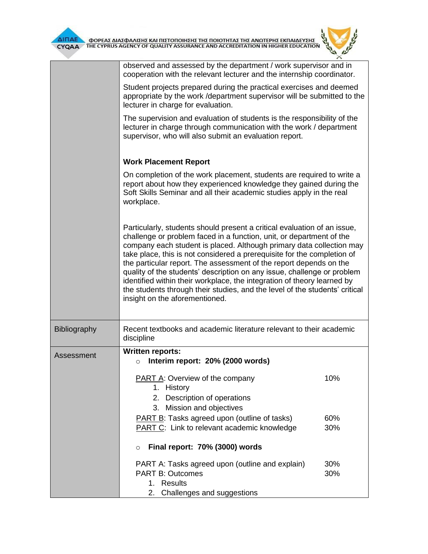|              | observed and assessed by the department / work supervisor and in<br>cooperation with the relevant lecturer and the internship coordinator.                                                                                                                                                                                                                                                                                                                                                                                                                                                                                                       |            |  |  |  |  |
|--------------|--------------------------------------------------------------------------------------------------------------------------------------------------------------------------------------------------------------------------------------------------------------------------------------------------------------------------------------------------------------------------------------------------------------------------------------------------------------------------------------------------------------------------------------------------------------------------------------------------------------------------------------------------|------------|--|--|--|--|
|              | Student projects prepared during the practical exercises and deemed<br>appropriate by the work / department supervisor will be submitted to the<br>lecturer in charge for evaluation.                                                                                                                                                                                                                                                                                                                                                                                                                                                            |            |  |  |  |  |
|              | The supervision and evaluation of students is the responsibility of the<br>lecturer in charge through communication with the work / department<br>supervisor, who will also submit an evaluation report.                                                                                                                                                                                                                                                                                                                                                                                                                                         |            |  |  |  |  |
|              | <b>Work Placement Report</b>                                                                                                                                                                                                                                                                                                                                                                                                                                                                                                                                                                                                                     |            |  |  |  |  |
|              | On completion of the work placement, students are required to write a<br>report about how they experienced knowledge they gained during the<br>Soft Skills Seminar and all their academic studies apply in the real<br>workplace.                                                                                                                                                                                                                                                                                                                                                                                                                |            |  |  |  |  |
|              | Particularly, students should present a critical evaluation of an issue,<br>challenge or problem faced in a function, unit, or department of the<br>company each student is placed. Although primary data collection may<br>take place, this is not considered a prerequisite for the completion of<br>the particular report. The assessment of the report depends on the<br>quality of the students' description on any issue, challenge or problem<br>identified within their workplace, the integration of theory learned by<br>the students through their studies, and the level of the students' critical<br>insight on the aforementioned. |            |  |  |  |  |
| Bibliography | Recent textbooks and academic literature relevant to their academic<br>discipline                                                                                                                                                                                                                                                                                                                                                                                                                                                                                                                                                                |            |  |  |  |  |
| Assessment   | <b>Written reports:</b><br>Interim report: 20% (2000 words)<br>O                                                                                                                                                                                                                                                                                                                                                                                                                                                                                                                                                                                 |            |  |  |  |  |
|              | <b>PART A: Overview of the company</b><br>1. History<br>2. Description of operations<br>Mission and objectives<br>3.                                                                                                                                                                                                                                                                                                                                                                                                                                                                                                                             | 10%        |  |  |  |  |
|              | <b>PART B:</b> Tasks agreed upon (outline of tasks)<br><b>PART C:</b> Link to relevant academic knowledge                                                                                                                                                                                                                                                                                                                                                                                                                                                                                                                                        | 60%<br>30% |  |  |  |  |
|              | Final report: 70% (3000) words<br>$\circ$                                                                                                                                                                                                                                                                                                                                                                                                                                                                                                                                                                                                        |            |  |  |  |  |
|              | PART A: Tasks agreed upon (outline and explain)                                                                                                                                                                                                                                                                                                                                                                                                                                                                                                                                                                                                  | 30%        |  |  |  |  |

30%

**PART B: Outcomes** 

2. Challenges and suggestions

1. Results